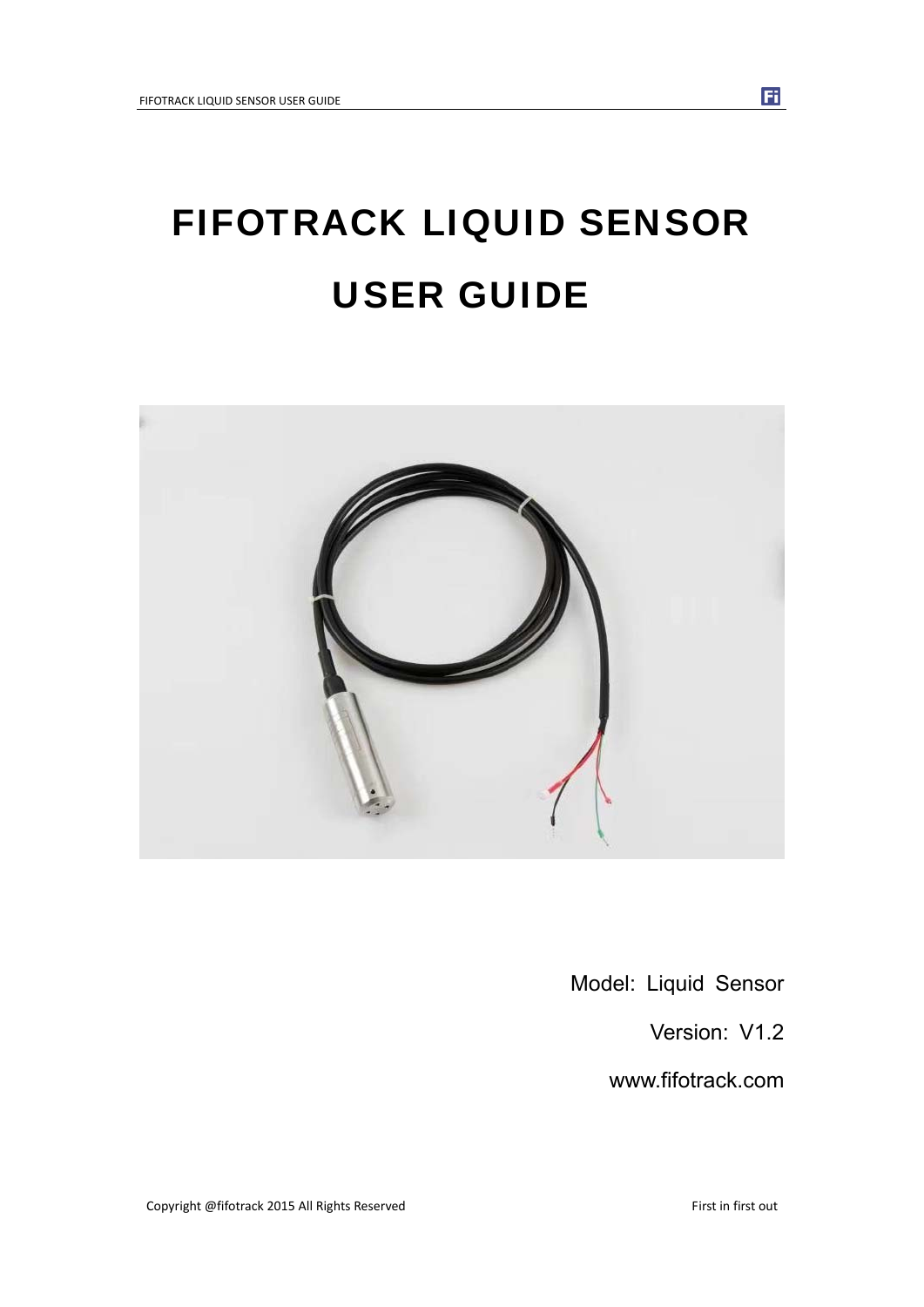# FIFOTRACK LIQUID SENSOR USER GUIDE



Model: Liquid Sensor

Version: V1.2

www.fifotrack.com

Fi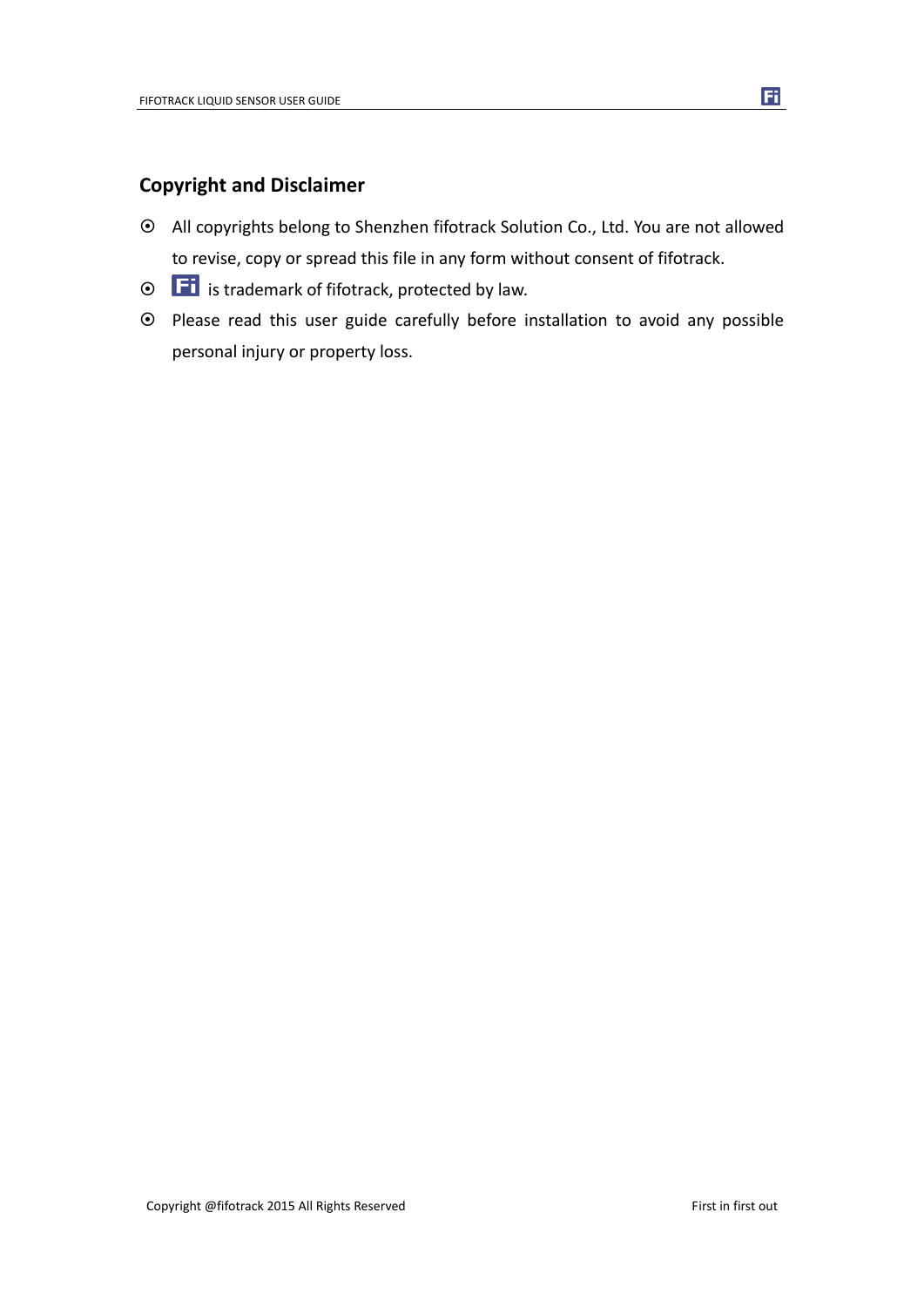## **Copyright and Disclaimer**

- All copyrights belong to Shenzhen fifotrack Solution Co., Ltd. You are not allowed to revise, copy or spread this file in any form without consent of fifotrack.
- $\odot$   $\Box$  is trademark of fifotrack, protected by law.
- Please read this user guide carefully before installation to avoid any possible personal injury or property loss.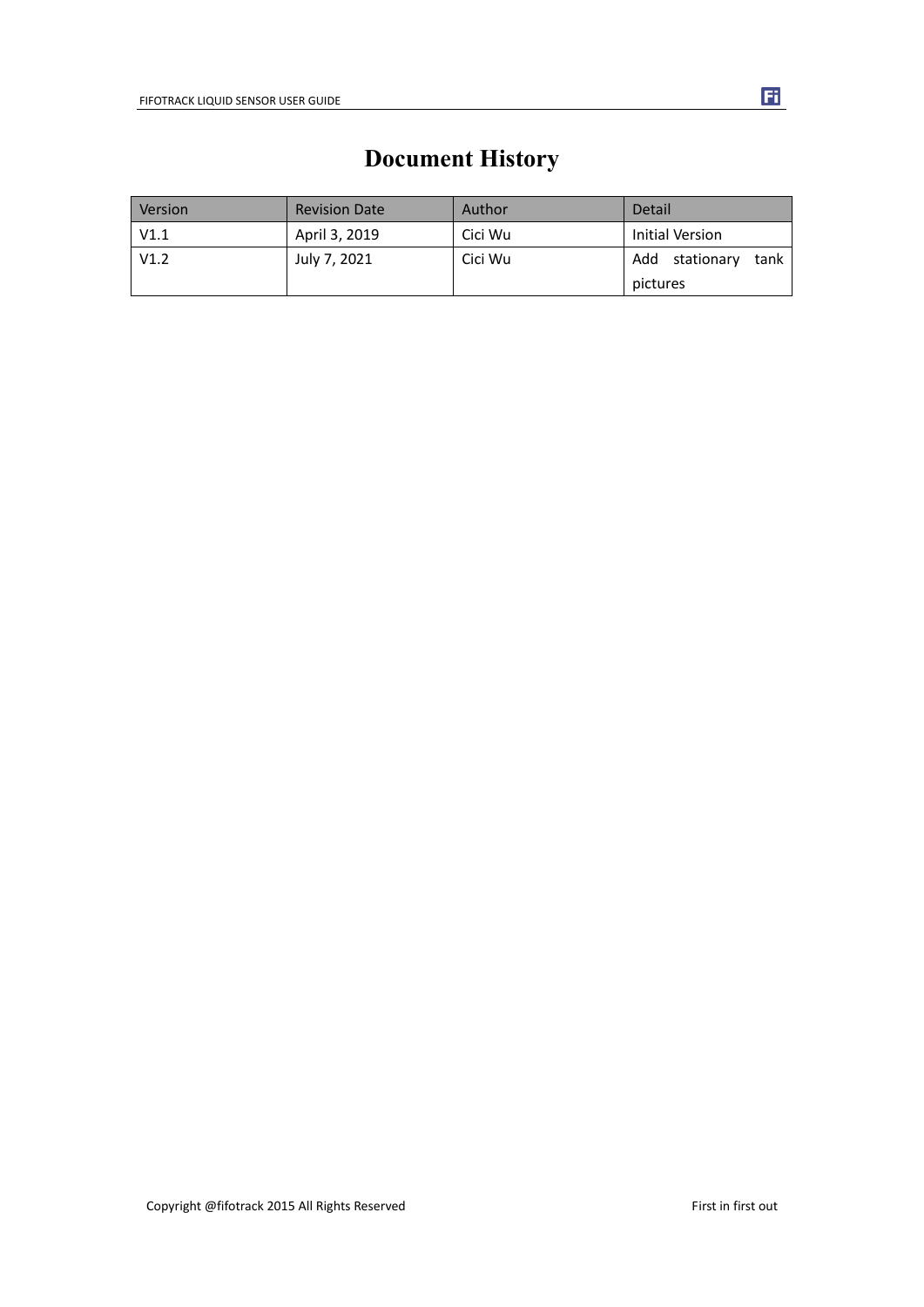| Version | <b>Revision Date</b> | Author  | Detail                    |  |  |
|---------|----------------------|---------|---------------------------|--|--|
| V1.1    | April 3, 2019        | Cici Wu | Initial Version           |  |  |
| V1.2    | July 7, 2021         | Cici Wu | Add<br>stationary<br>tank |  |  |
|         |                      |         | pictures                  |  |  |

# **Document History**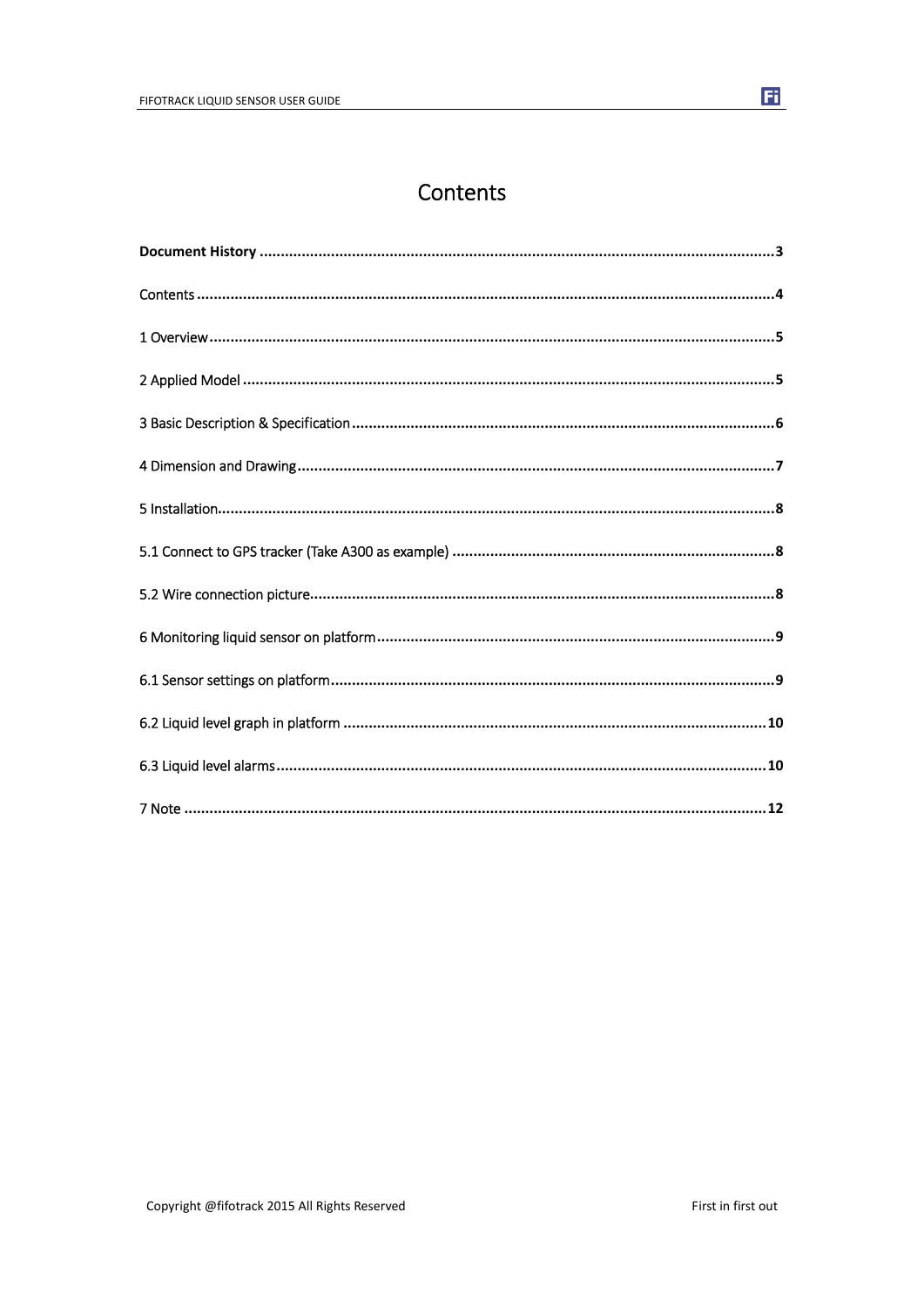## Contents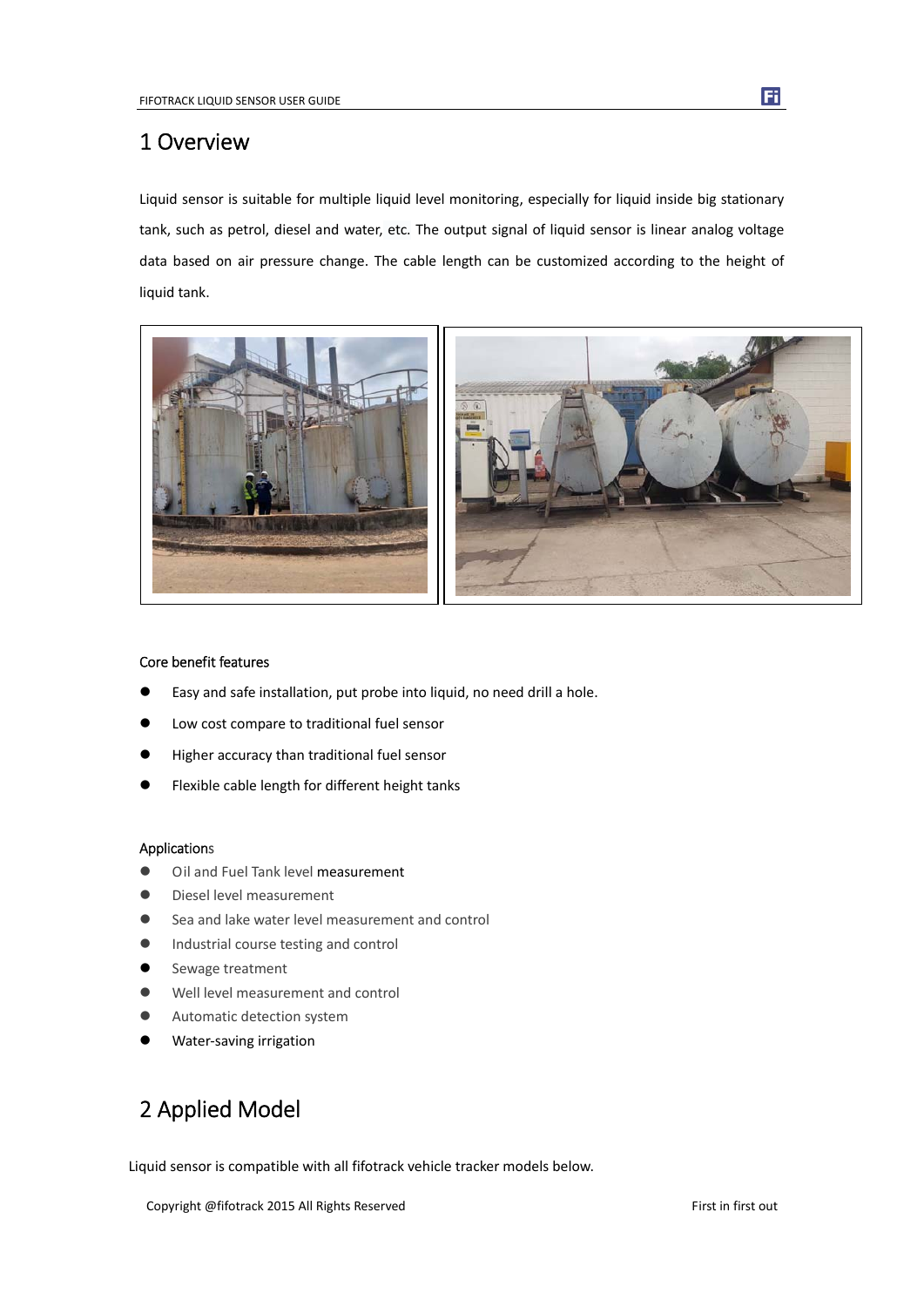## 1 Overview

Liquid sensor is suitable for multiple liquid level monitoring, especially for liquid inside big stationary tank, such as petrol, diesel and water, etc. The output signal of liquid sensor is linear analog voltage data based on air pressure change. The cable length can be customized according to the height of liquid tank.



### Core benefit features

- Easy and safe installation, put probe into liquid, no need drill a hole.
- Low cost compare to traditional fuel sensor
- Higher accuracy than traditional fuel sensor
- Flexible cable length for different height tanks

#### Applications

- $\bullet$  Oil and Fuel Tank level measurement
- Diesel level measurement
- Sea and lake water level measurement and control
- **Industrial course testing and control**
- Sewage treatment
- Well level measurement and control
- Automatic detection system
- Water‐saving irrigation

# 2 Applied Model

Liquid sensor is compatible with all fifotrack vehicle tracker models below.

Copyright @fifotrack 2015 All Rights Reserved First in first out

Fi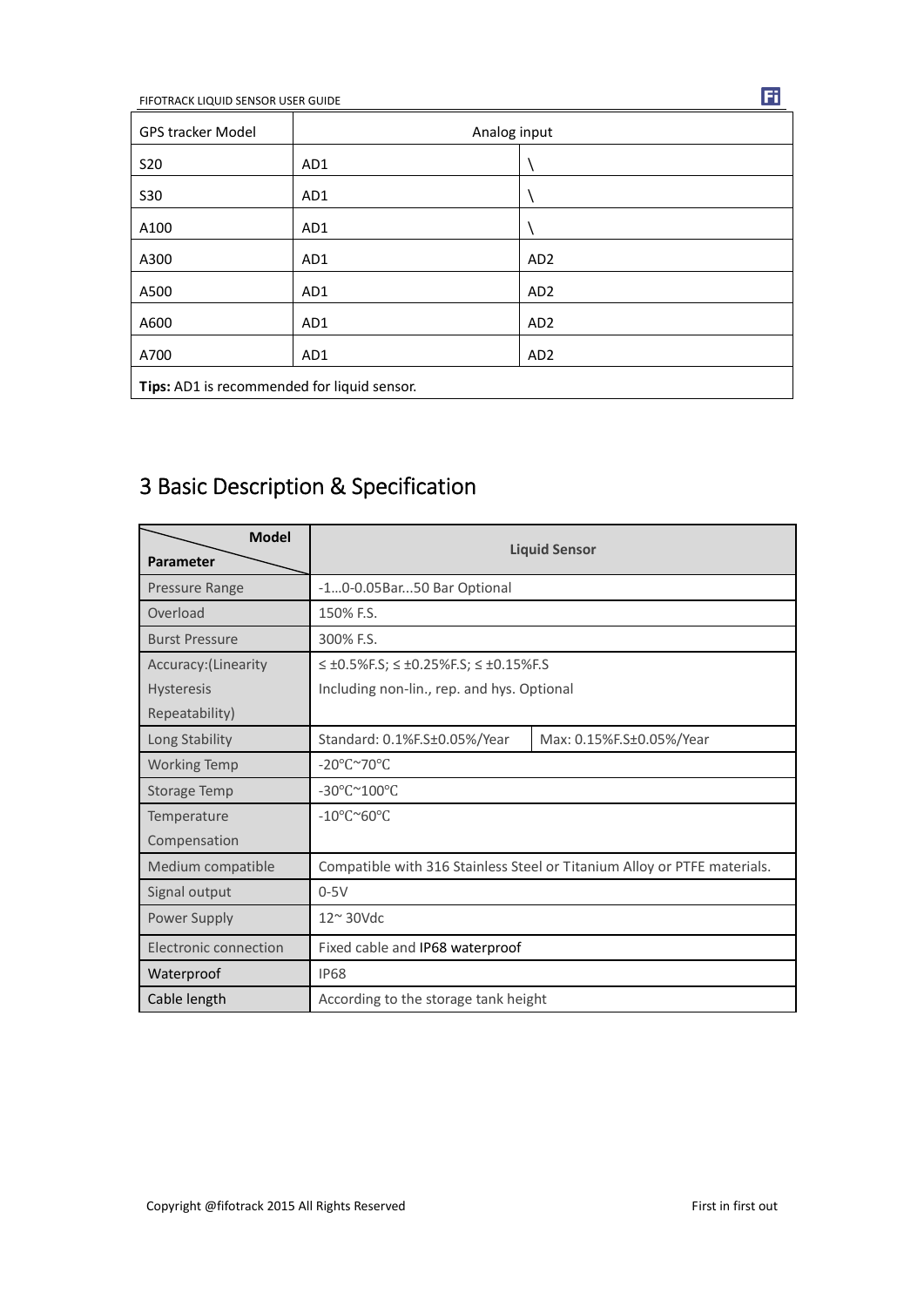FIFOTRACK LIQUID SENSOR USER GUIDE

| <b>GPS tracker Model</b> | Analog input                                |                 |  |  |  |  |  |  |
|--------------------------|---------------------------------------------|-----------------|--|--|--|--|--|--|
| <b>S20</b>               | AD1                                         |                 |  |  |  |  |  |  |
| <b>S30</b>               | AD1                                         |                 |  |  |  |  |  |  |
| A100                     | AD1                                         |                 |  |  |  |  |  |  |
| A300                     | AD1                                         | AD <sub>2</sub> |  |  |  |  |  |  |
| A500                     | AD1                                         | AD <sub>2</sub> |  |  |  |  |  |  |
| A600                     | AD1                                         | AD <sub>2</sub> |  |  |  |  |  |  |
| A700                     | AD1                                         | AD <sub>2</sub> |  |  |  |  |  |  |
|                          | Tips: AD1 is recommended for liquid sensor. |                 |  |  |  |  |  |  |

# 3 Basic Description & Specification

| <b>Model</b><br>Parameter | <b>Liquid Sensor</b>                                               |                                                                          |  |  |  |  |  |
|---------------------------|--------------------------------------------------------------------|--------------------------------------------------------------------------|--|--|--|--|--|
| Pressure Range            | -10-0.05Bar50 Bar Optional                                         |                                                                          |  |  |  |  |  |
| Overload                  | 150% F.S.                                                          |                                                                          |  |  |  |  |  |
| <b>Burst Pressure</b>     | 300% F.S.                                                          |                                                                          |  |  |  |  |  |
| Accuracy: (Linearity      | $\leq \pm 0.5\%$ F.S; $\leq \pm 0.25\%$ F.S; $\leq \pm 0.15\%$ F.S |                                                                          |  |  |  |  |  |
| <b>Hysteresis</b>         | Including non-lin., rep. and hys. Optional                         |                                                                          |  |  |  |  |  |
| Repeatability)            |                                                                    |                                                                          |  |  |  |  |  |
| Long Stability            | Standard: 0.1%F.S±0.05%/Year                                       | Max: 0.15%F.S±0.05%/Year                                                 |  |  |  |  |  |
| <b>Working Temp</b>       | -20°C~70°C                                                         |                                                                          |  |  |  |  |  |
| <b>Storage Temp</b>       | -30°C~100°C                                                        |                                                                          |  |  |  |  |  |
| Temperature               | $-10^{\circ}$ C $\sim$ 60 $^{\circ}$ C                             |                                                                          |  |  |  |  |  |
| Compensation              |                                                                    |                                                                          |  |  |  |  |  |
| Medium compatible         |                                                                    | Compatible with 316 Stainless Steel or Titanium Alloy or PTFE materials. |  |  |  |  |  |
| Signal output             | $0-5V$                                                             |                                                                          |  |  |  |  |  |
| Power Supply              | $12^{\sim}$ 30Vdc                                                  |                                                                          |  |  |  |  |  |
| Electronic connection     | Fixed cable and IP68 waterproof                                    |                                                                          |  |  |  |  |  |
| Waterproof                | <b>IP68</b>                                                        |                                                                          |  |  |  |  |  |
| Cable length              | According to the storage tank height                               |                                                                          |  |  |  |  |  |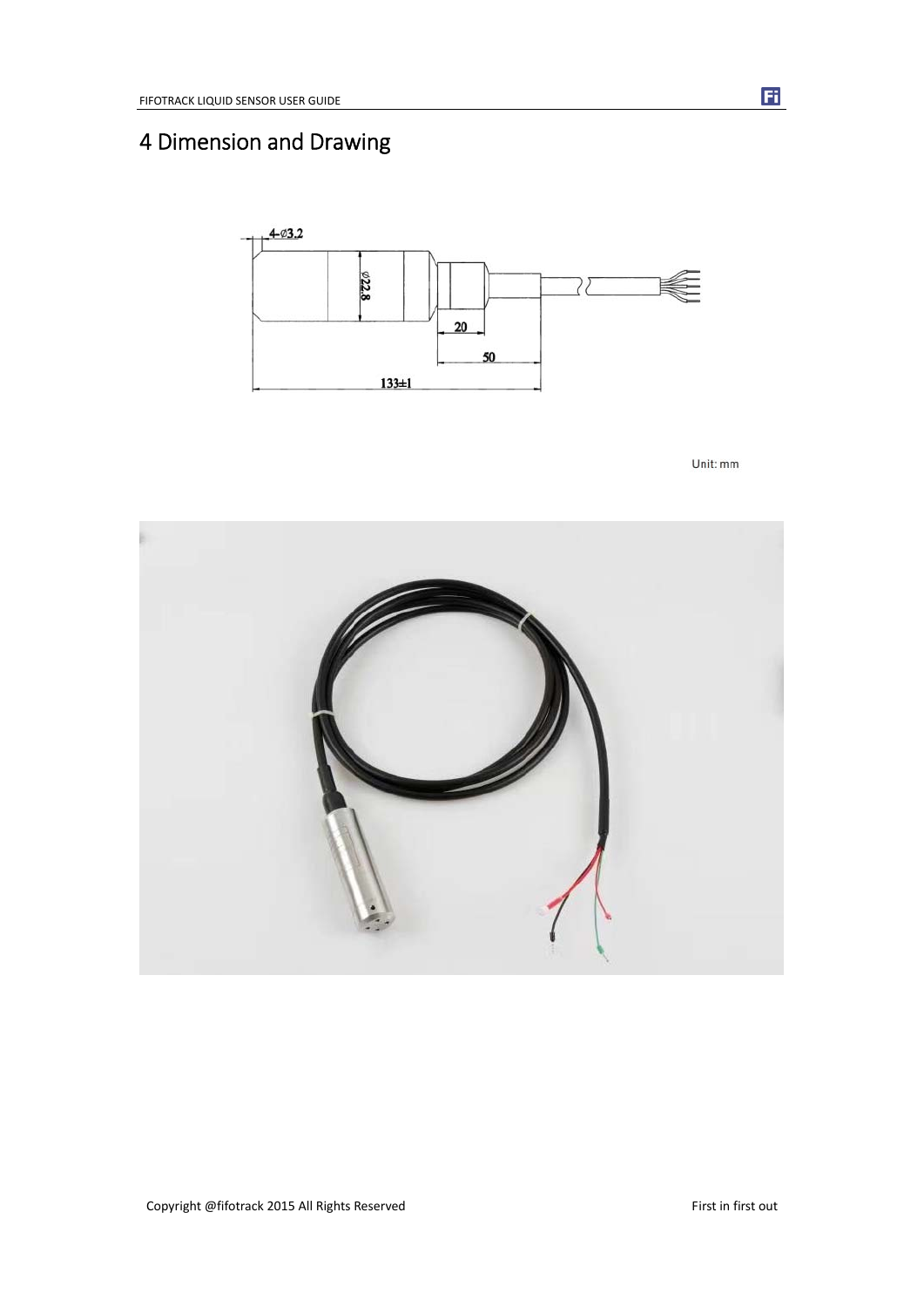# 4 Dimension and Drawing



Unit: mm

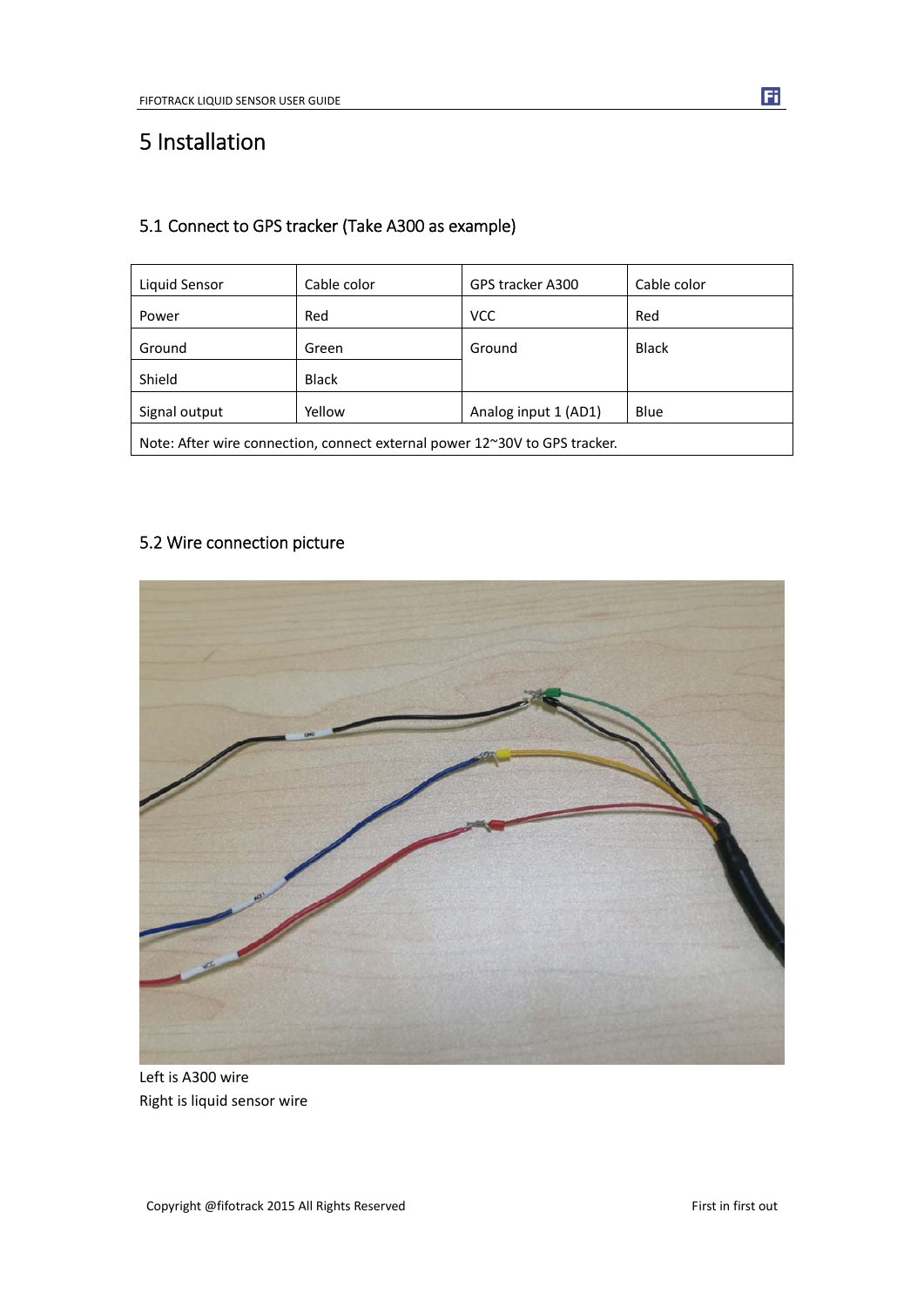# 5 Installation

## 5.1 Connect to GPS tracker (Take A300 as example)

| Liquid Sensor                                                              | Cable color | GPS tracker A300     | Cable color  |  |  |  |  |
|----------------------------------------------------------------------------|-------------|----------------------|--------------|--|--|--|--|
| Power                                                                      | Red         | <b>VCC</b>           | Red          |  |  |  |  |
| Ground                                                                     | Green       | Ground               | <b>Black</b> |  |  |  |  |
| Shield                                                                     | Black       |                      |              |  |  |  |  |
| Signal output                                                              | Yellow      | Analog input 1 (AD1) | Blue         |  |  |  |  |
| Note: After wire connection, connect external power 12~30V to GPS tracker. |             |                      |              |  |  |  |  |

## 5.2 Wire connection picture



Left is A300 wire Right is liquid sensor wire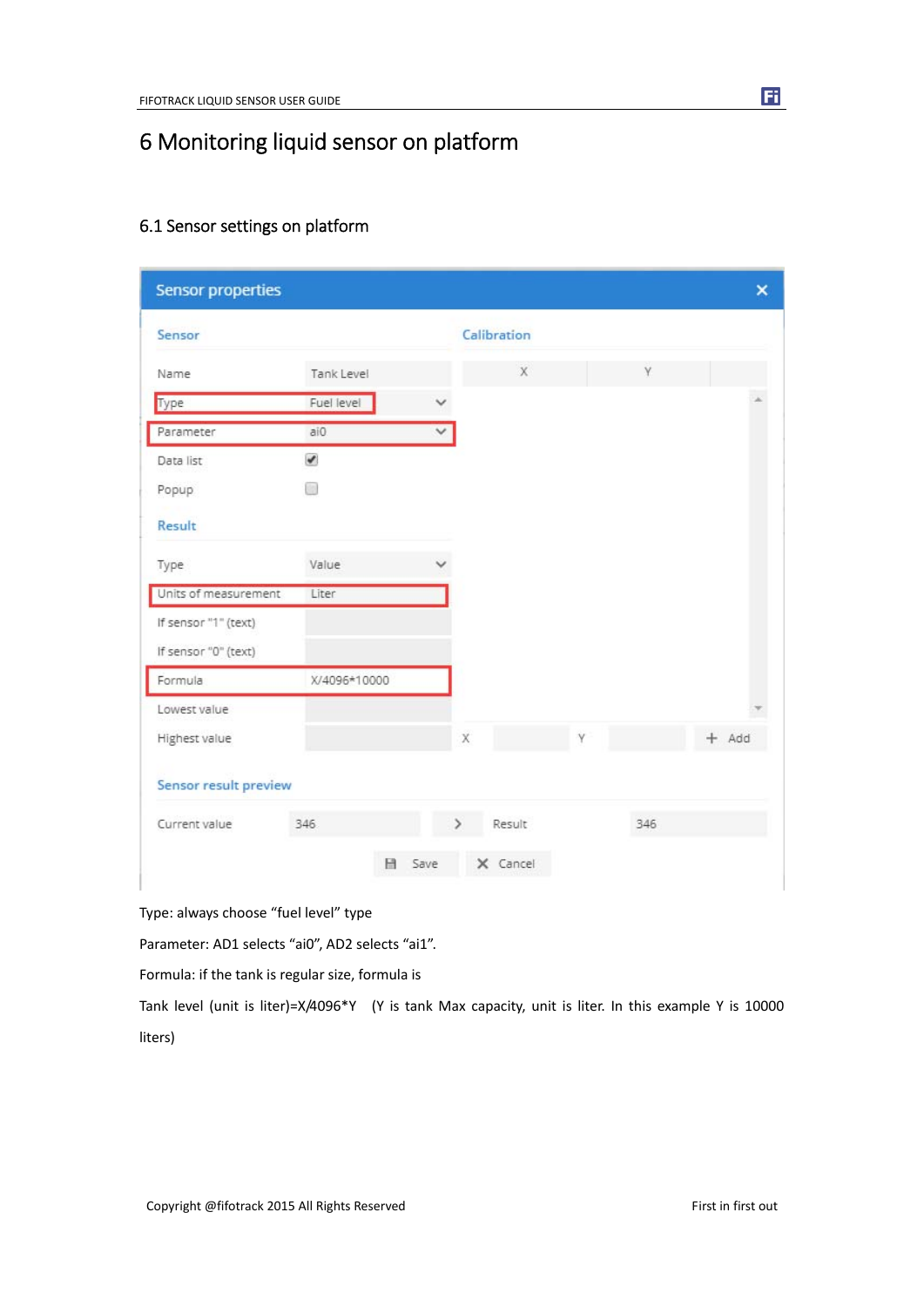# 6 Monitoring liquid sensor on platform

| Sensor                |              |              | Calibration        |             |              |     |         |
|-----------------------|--------------|--------------|--------------------|-------------|--------------|-----|---------|
| Name                  | Tank Level   |              |                    | $\mathsf X$ |              | γ   |         |
| Type                  | Fuel level   |              |                    |             |              |     |         |
| Parameter             | ai0          | $\checkmark$ |                    |             |              |     |         |
| Data list             | $\checkmark$ |              |                    |             |              |     |         |
| Popup                 | m            |              |                    |             |              |     |         |
| Result                |              |              |                    |             |              |     |         |
| Type                  | Value        |              |                    |             |              |     |         |
| Units of measurement  | Liter        |              |                    |             |              |     |         |
| If sensor "1" (text)  |              |              |                    |             |              |     |         |
| If sensor "0" (text)  |              |              |                    |             |              |     |         |
| Formula               | X/4096*10000 |              |                    |             |              |     |         |
| Lowest value          |              |              |                    |             |              |     |         |
| Highest value         |              |              | $\bar{\mathsf{X}}$ |             | $\mathsf{v}$ |     | $+$ Add |
| Sensor result preview |              |              |                    |             |              |     |         |
| Current value         | 346          |              |                    | Result      |              | 346 |         |
|                       |              |              |                    |             |              |     |         |

## 6.1 Sensor settings on platform

Type: always choose "fuel level" type

Parameter: AD1 selects "ai0", AD2 selects "ai1".

Formula: if the tank is regular size, formula is

Tank level (unit is liter)=X/4096\*Y (Y is tank Max capacity, unit is liter. In this example Y is 10000 liters)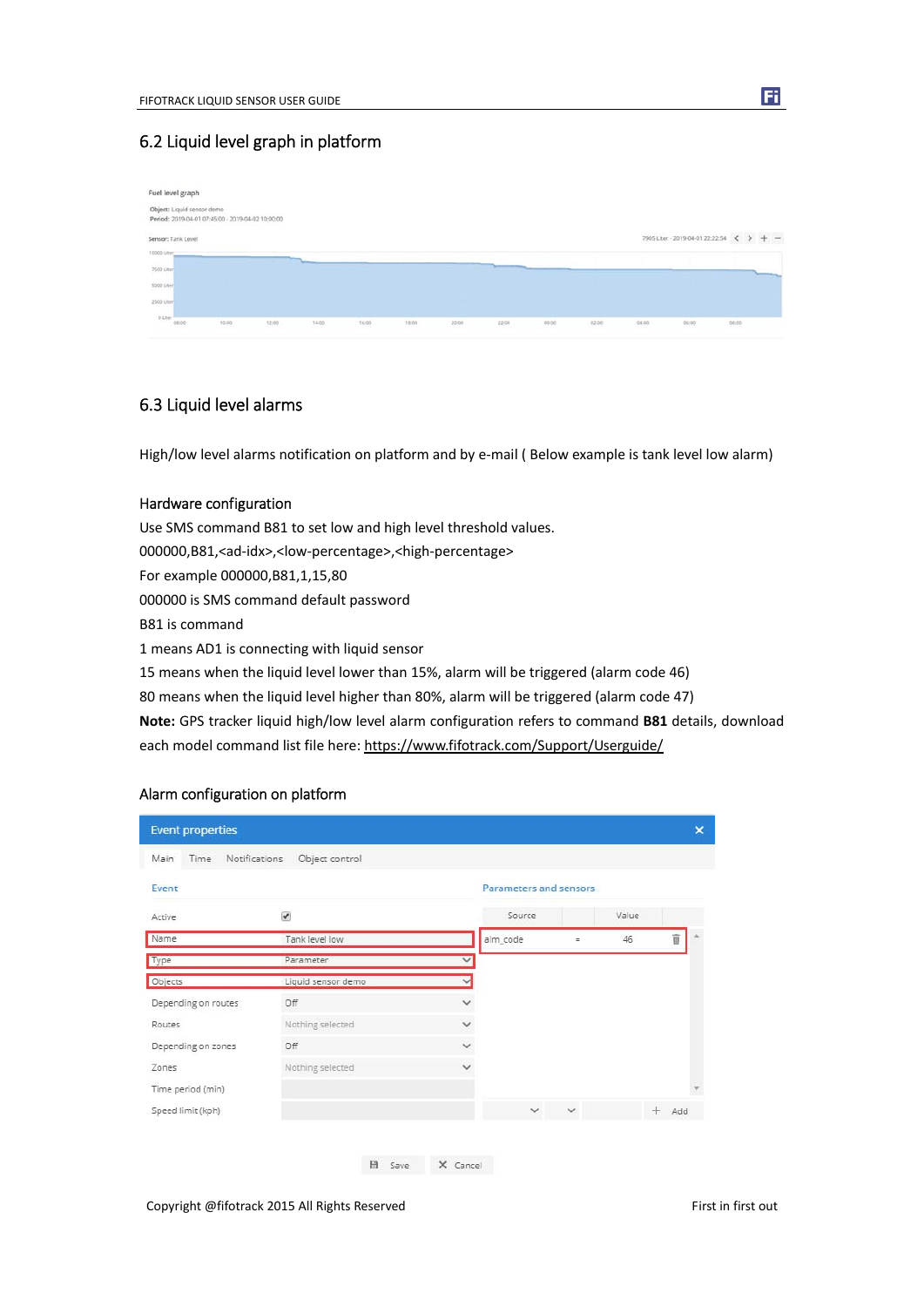## 6.2 Liquid level graph in platform

|                    | Fuel level graph           |                                                   |       |       |       |            |       |       |       |       |       |                                                                   |       |  |
|--------------------|----------------------------|---------------------------------------------------|-------|-------|-------|------------|-------|-------|-------|-------|-------|-------------------------------------------------------------------|-------|--|
|                    | Object: Liquid sensor demo | Period: 2019-04-01 07:45:00 - 2019-04-02 10:00:00 |       |       |       |            |       |       |       |       |       |                                                                   |       |  |
|                    | Sensor: Tank Level         |                                                   |       |       |       |            |       |       |       |       |       | 7905 Liter - 2019-04-01 22:22:54 $\left\langle \right\rangle$ + - |       |  |
| 10000 Liter        |                            |                                                   |       |       |       |            |       |       |       |       |       |                                                                   |       |  |
| an S<br>7500 Liter |                            |                                                   |       |       |       |            |       |       |       |       |       |                                                                   |       |  |
| <b>SOOD Liter</b>  |                            |                                                   |       |       |       |            |       |       |       |       |       |                                                                   |       |  |
| 2500 Liter         |                            |                                                   |       |       |       |            |       |       |       |       |       |                                                                   |       |  |
| <b>O Liter</b>     | 08:00                      | 10:00                                             | 12,00 | 14:00 | 16:00 | 18:00<br>æ | 20.00 | 22:00 | 00:00 | 02:00 | 04.00 | 06:00<br>$\sim$                                                   | 08:00 |  |

## 6.3 Liquid level alarms

High/low level alarms notification on platform and by e-mail (Below example is tank level low alarm)

## Hardware configuration

Use SMS command B81 to set low and high level threshold values. 000000,B81,<ad‐idx>,<low‐percentage>,<high‐percentage> For example 000000,B81,1,15,80 000000 is SMS command default password B81 is command 1 means AD1 is connecting with liquid sensor 15 means when the liquid level lower than 15%, alarm will be triggered (alarm code 46) 80 means when the liquid level higher than 80%, alarm will be triggered (alarm code 47) **Note:** GPS tracker liquid high/low level alarm configuration refers to command **B81** details, download each model command list file here: https://www.fifotrack.com/Support/Userguide/

#### Alarm configuration on platform

| <b>Event properties</b>       |                         |              |                               |               |       |         | $\boldsymbol{\mathsf{x}}$ |
|-------------------------------|-------------------------|--------------|-------------------------------|---------------|-------|---------|---------------------------|
| Time<br>Main<br>Notifications | Object control          |              |                               |               |       |         |                           |
| Event                         |                         |              | <b>Parameters and sensors</b> |               |       |         |                           |
| Active                        | $\overline{\mathbf{v}}$ |              | Source                        |               | Value |         |                           |
| Name                          | Tank level low          |              | alm_code                      | $\equiv$      | 46    | û       |                           |
| Type                          | Parameter               | $\checkmark$ |                               |               |       |         |                           |
| Objects                       | Liquid sensor demo      | $\checkmark$ |                               |               |       |         |                           |
| Depending on routes           | Off                     | $\checkmark$ |                               |               |       |         |                           |
| Routes                        | Nothing selected        | $\checkmark$ |                               |               |       |         |                           |
| Depending on zones            | Off                     | $\checkmark$ |                               |               |       |         |                           |
| Zones                         | Nothing selected        | $\checkmark$ |                               |               |       |         |                           |
| Time period (min)             |                         |              |                               |               |       |         |                           |
| Speed limit (kph)             |                         |              |                               | $\vee$ $\vee$ |       | $+$ Add |                           |

Copyright @fifotrack 2015 All Rights Reserved First in first out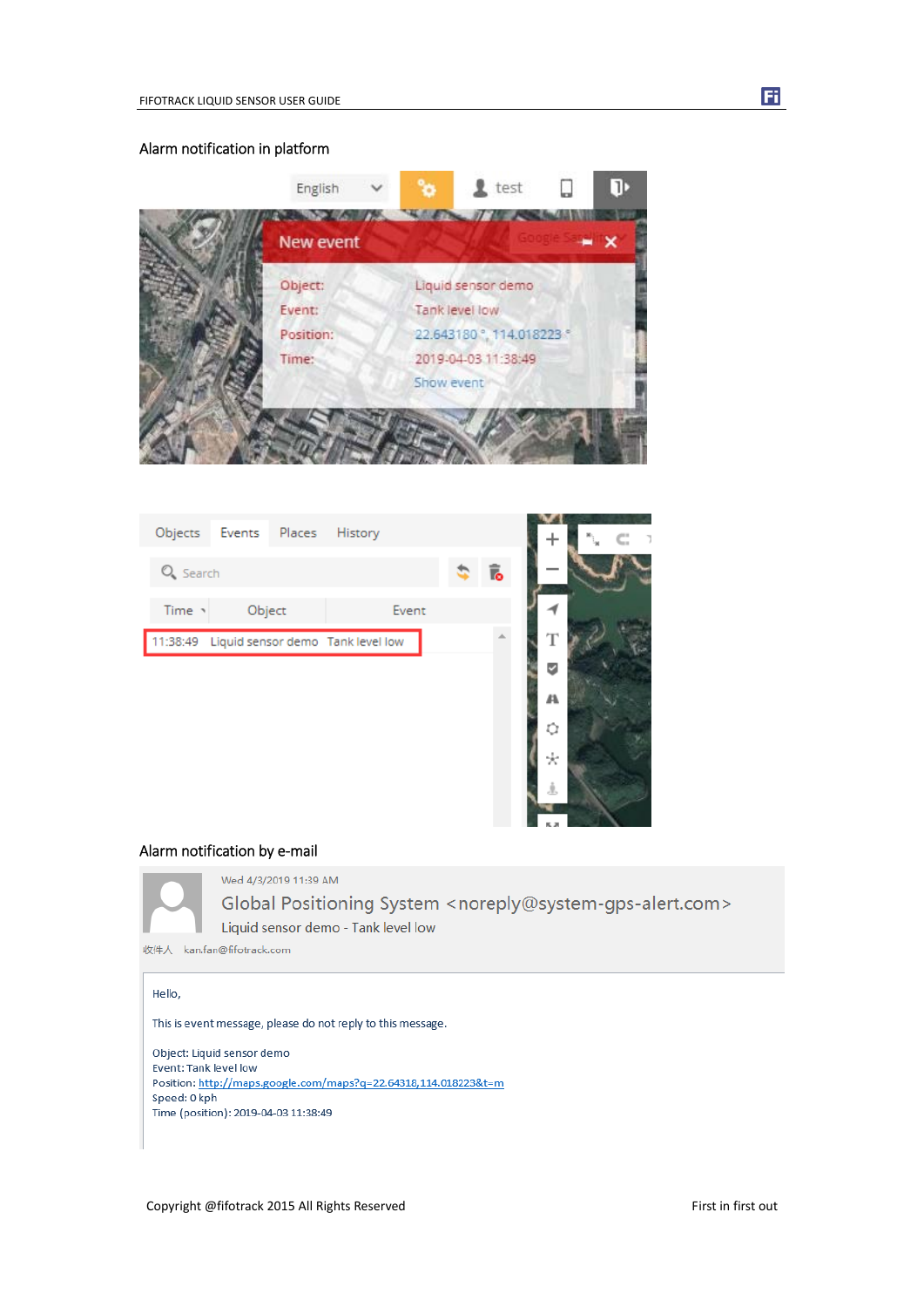

| Objects                                    | Events Places | History |       |    |     | C.<br>- 7 |
|--------------------------------------------|---------------|---------|-------|----|-----|-----------|
| $Q_{s}$ Search                             |               |         |       | Ī. |     |           |
| Time -                                     | Object        |         | Event |    |     |           |
| 11:38:49 Liquid sensor demo Tank level low |               |         |       |    | T   |           |
|                                            |               |         |       |    | √   |           |
|                                            |               |         |       |    | 44. |           |
|                                            |               |         |       |    | Ů   |           |
|                                            |               |         |       |    | ÷   |           |
|                                            |               |         |       |    | Ĵ.  |           |

## Alarm notification by e‐mail



Wed 4/3/2019 11:39 AM

Global Positioning System <noreply@system-gps-alert.com> Liquid sensor demo - Tank level low

**THE NA** 

收件人 kan.fan@fifotrack.com

#### Hello,

This is event message, please do not reply to this message.

Object: Liquid sensor demo Event: Tank level low Position: http://maps.google.com/maps?q=22.64318,114.018223&t=m Speed: 0 kph Time (position): 2019-04-03 11:38:49